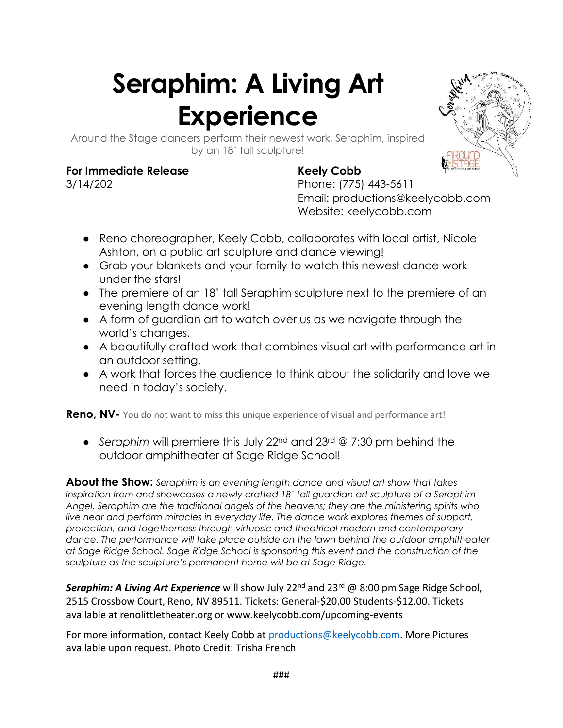## **Seraphim: A Living Art Experience**



Around the Stage dancers perform their newest work, Seraphim, inspired by an 18' tall sculpture!

## **For Immediate Release Keely Cobb**

3/14/202 Phone: (775) 443-5611 Email: productions@keelycobb.com Website: keelycobb.com

- Reno choreographer, Keely Cobb, collaborates with local artist, Nicole Ashton, on a public art sculpture and dance viewing!
- Grab your blankets and your family to watch this newest dance work under the stars!
- The premiere of an 18' tall Seraphim sculpture next to the premiere of an evening length dance work!
- A form of guardian art to watch over us as we navigate through the world's changes.
- A beautifully crafted work that combines visual art with performance art in an outdoor setting.
- A work that forces the audience to think about the solidarity and love we need in today's society.

**Reno, NV-** You do not want to miss this unique experience of visual and performance art!

● *Seraphim* will premiere this July 22nd and 23rd @ 7:30 pm behind the outdoor amphitheater at Sage Ridge School!

**About the Show:** *Seraphim is an evening length dance and visual art show that takes inspiration from and showcases a newly crafted 18' tall guardian art sculpture of a Seraphim Angel. Seraphim are the traditional angels of the heavens; they are the ministering spirits who live near and perform miracles in everyday life. The dance work explores themes of support, protection, and togetherness through virtuosic and theatrical modern and contemporary dance. The performance will take place outside on the lawn behind the outdoor amphitheater at Sage Ridge School. Sage Ridge School is sponsoring this event and the construction of the sculpture as the sculpture's permanent home will be at Sage Ridge.* 

**Seraphim: A Living Art Experience** will show July 22<sup>nd</sup> and 23<sup>rd</sup> @ 8:00 pm Sage Ridge School, 2515 Crossbow Court, Reno, NV 89511. Tickets: General-\$20.00 Students-\$12.00. Tickets available at renolittletheater.org or www.keelycobb.com/upcoming-events

For more information, contact Keely Cobb at [productions@keelycobb.com.](mailto:productions@keelycobb.com) More Pictures available upon request. Photo Credit: Trisha French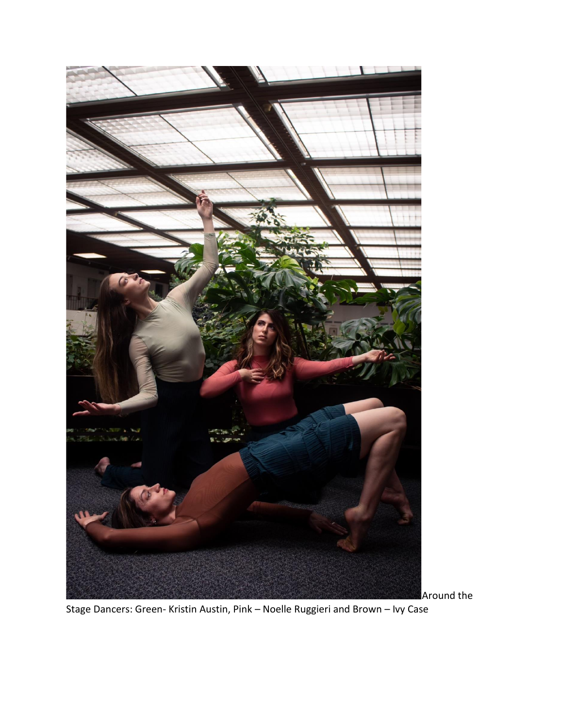

Stage Dancers: Green- Kristin Austin, Pink – Noelle Ruggieri and Brown – Ivy Case